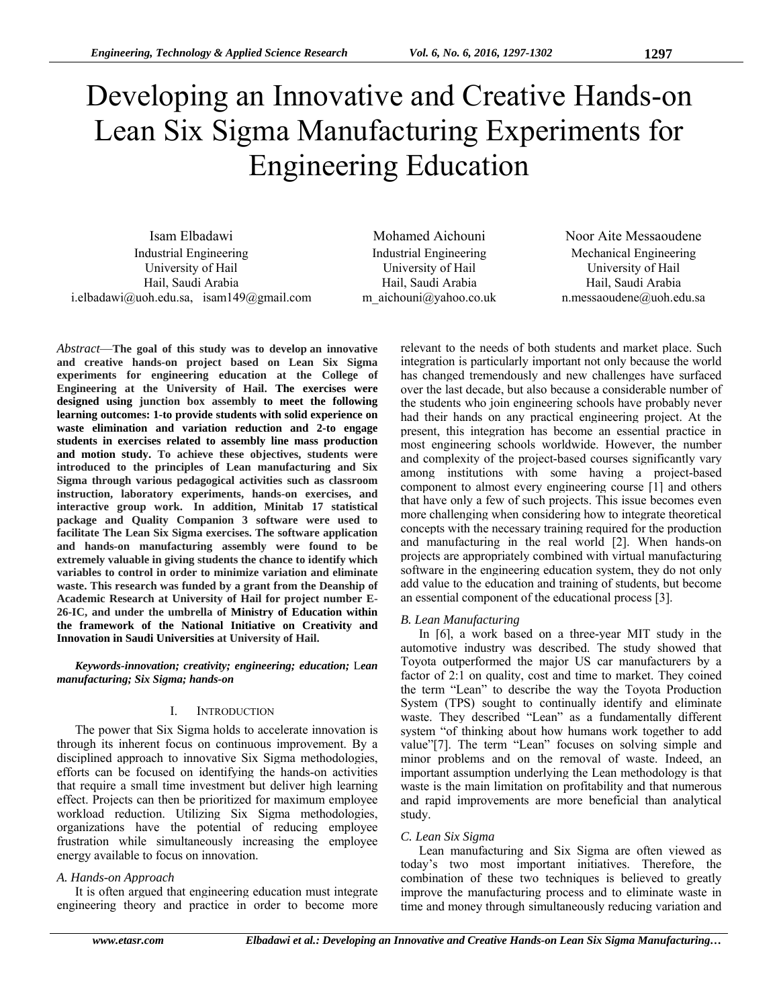# Developing an Innovative and Creative Hands-on Lean Six Sigma Manufacturing Experiments for Engineering Education

Isam Elbadawi Mohamed Aichouni Noor Aite Messaoudene Industrial Engineering University of Hail Hail, Saudi Arabia i.elbadawi@uoh.edu.sa, isam149@gmail.com

Industrial Engineering University of Hail Hail, Saudi Arabia m\_aichouni@yahoo.co.uk

Mechanical Engineering University of Hail Hail, Saudi Arabia n.messaoudene@uoh.edu.sa

*Abstract*—**The goal of this study was to develop an innovative and creative hands-on project based on Lean Six Sigma experiments for engineering education at the College of Engineering at the University of Hail. The exercises were designed using junction box assembly to meet the following learning outcomes: 1-to provide students with solid experience on waste elimination and variation reduction and 2-to engage students in exercises related to assembly line mass production and motion study. To achieve these objectives, students were introduced to the principles of Lean manufacturing and Six Sigma through various pedagogical activities such as classroom instruction, laboratory experiments, hands-on exercises, and interactive group work. In addition, Minitab 17 statistical package and Quality Companion 3 software were used to facilitate The Lean Six Sigma exercises. The software application and hands-on manufacturing assembly were found to be extremely valuable in giving students the chance to identify which variables to control in order to minimize variation and eliminate waste. This research was funded by a grant from the Deanship of Academic Research at University of Hail for project number E-26-IC, and under the umbrella of Ministry of Education within the framework of the National Initiative on Creativity and Innovation in Saudi Universities at University of Hail.** 

*Keywords-innovation; creativity; engineering; education;* L*ean manufacturing; Six Sigma; hands-on* 

# I. INTRODUCTION

The power that Six Sigma holds to accelerate innovation is through its inherent focus on continuous improvement. By a disciplined approach to innovative Six Sigma methodologies, efforts can be focused on identifying the hands-on activities that require a small time investment but deliver high learning effect. Projects can then be prioritized for maximum employee workload reduction. Utilizing Six Sigma methodologies, organizations have the potential of reducing employee frustration while simultaneously increasing the employee energy available to focus on innovation.

# *A. Hands-on Approach*

It is often argued that engineering education must integrate engineering theory and practice in order to become more relevant to the needs of both students and market place. Such integration is particularly important not only because the world has changed tremendously and new challenges have surfaced over the last decade, but also because a considerable number of the students who join engineering schools have probably never had their hands on any practical engineering project. At the present, this integration has become an essential practice in most engineering schools worldwide. However, the number and complexity of the project-based courses significantly vary among institutions with some having a project-based component to almost every engineering course [1] and others that have only a few of such projects. This issue becomes even more challenging when considering how to integrate theoretical concepts with the necessary training required for the production and manufacturing in the real world [2]. When hands-on projects are appropriately combined with virtual manufacturing software in the engineering education system, they do not only add value to the education and training of students, but become an essential component of the educational process [3].

# *B. Lean Manufacturing*

In [6], a work based on a three-year MIT study in the automotive industry was described. The study showed that Toyota outperformed the major US car manufacturers by a factor of 2:1 on quality, cost and time to market. They coined the term "Lean" to describe the way the Toyota Production System (TPS) sought to continually identify and eliminate waste. They described "Lean" as a fundamentally different system "of thinking about how humans work together to add value"[7]. The term "Lean" focuses on solving simple and minor problems and on the removal of waste. Indeed, an important assumption underlying the Lean methodology is that waste is the main limitation on profitability and that numerous and rapid improvements are more beneficial than analytical study.

# *C. Lean Six Sigma*

Lean manufacturing and Six Sigma are often viewed as today's two most important initiatives. Therefore, the combination of these two techniques is believed to greatly improve the manufacturing process and to eliminate waste in time and money through simultaneously reducing variation and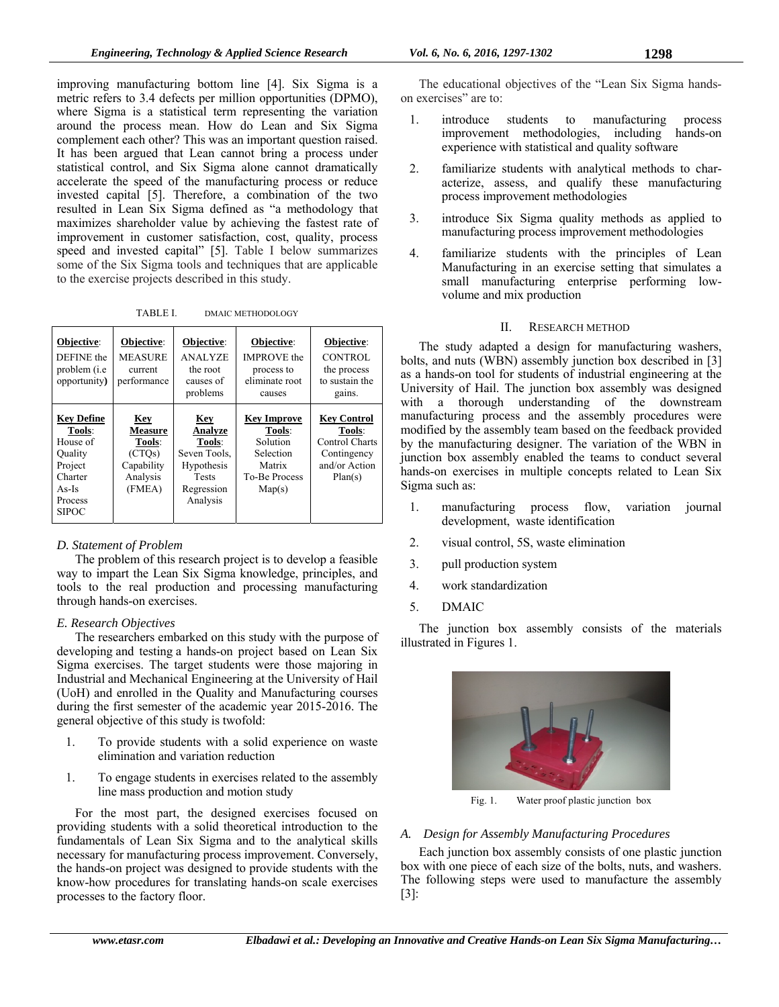improving manufacturing bottom line [4]. Six Sigma is a metric refers to 3.4 defects per million opportunities (DPMO), where Sigma is a statistical term representing the variation around the process mean. How do Lean and Six Sigma complement each other? This was an important question raised. It has been argued that Lean cannot bring a process under statistical control, and Six Sigma alone cannot dramatically accelerate the speed of the manufacturing process or reduce invested capital [5]. Therefore, a combination of the two resulted in Lean Six Sigma defined as "a methodology that maximizes shareholder value by achieving the fastest rate of improvement in customer satisfaction, cost, quality, process speed and invested capital" [5]. Table I below summarizes some of the Six Sigma tools and techniques that are applicable to the exercise projects described in this study.

TABLE I. DMAIC METHODOLOGY

| Objective:<br>DEFINE the<br>problem ( <i>i.e</i> )<br>opportunity)                                             | Objective:<br><b>MEASURE</b><br>current<br>performance                        | Objective:<br><b>ANALYZE</b><br>the root<br>causes of<br>problems                                       | Objective:<br><b>IMPROVE</b> the<br>process to<br>eliminate root<br>causes                        | Objective:<br><b>CONTROL</b><br>the process<br>to sustain the<br>gains.                          |
|----------------------------------------------------------------------------------------------------------------|-------------------------------------------------------------------------------|---------------------------------------------------------------------------------------------------------|---------------------------------------------------------------------------------------------------|--------------------------------------------------------------------------------------------------|
| <b>Key Define</b><br>Tools:<br>House of<br>Ouality<br>Project<br>Charter<br>$As-Is$<br>Process<br><b>SIPOC</b> | Key<br><b>Measure</b><br>Tools:<br>(CTOs)<br>Capability<br>Analysis<br>(FMEA) | <b>Key</b><br>Analyze<br>Tools:<br>Seven Tools,<br>Hypothesis<br><b>Tests</b><br>Regression<br>Analysis | <b>Key Improve</b><br>Tools:<br>Solution<br>Selection<br>Matrix<br><b>To-Be Process</b><br>Map(s) | <b>Key Control</b><br>Tools:<br><b>Control Charts</b><br>Contingency<br>and/or Action<br>Plan(s) |

# *D. Statement of Problem*

The problem of this research project is to develop a feasible way to impart the Lean Six Sigma knowledge, principles, and tools to the real production and processing manufacturing through hands-on exercises.

# *E. Research Objectives*

The researchers embarked on this study with the purpose of developing and testing a hands-on project based on Lean Six Sigma exercises. The target students were those majoring in Industrial and Mechanical Engineering at the University of Hail (UoH) and enrolled in the Quality and Manufacturing courses during the first semester of the academic year 2015-2016. The general objective of this study is twofold:

- 1. To provide students with a solid experience on waste elimination and variation reduction
- 1. To engage students in exercises related to the assembly line mass production and motion study

For the most part, the designed exercises focused on providing students with a solid theoretical introduction to the fundamentals of Lean Six Sigma and to the analytical skills necessary for manufacturing process improvement. Conversely, the hands-on project was designed to provide students with the know-how procedures for translating hands-on scale exercises processes to the factory floor.

The educational objectives of the "Lean Six Sigma handson exercises" are to:

- 1. introduce students to manufacturing process improvement methodologies, including hands-on experience with statistical and quality software
- 2. familiarize students with analytical methods to characterize, assess, and qualify these manufacturing process improvement methodologies
- 3. introduce Six Sigma quality methods as applied to manufacturing process improvement methodologies
- 4. familiarize students with the principles of Lean Manufacturing in an exercise setting that simulates a small manufacturing enterprise performing lowvolume and mix production

# II. RESEARCH METHOD

The study adapted a design for manufacturing washers, bolts, and nuts (WBN) assembly junction box described in [3] as a hands-on tool for students of industrial engineering at the University of Hail. The junction box assembly was designed with a thorough understanding of the downstream manufacturing process and the assembly procedures were modified by the assembly team based on the feedback provided by the manufacturing designer. The variation of the WBN in junction box assembly enabled the teams to conduct several hands-on exercises in multiple concepts related to Lean Six Sigma such as:

- 1. manufacturing process flow, variation journal development, waste identification
- 2. visual control, 5S, waste elimination
- 3. pull production system
- 4. work standardization
- 5. DMAIC

The junction box assembly consists of the materials illustrated in Figures 1.



Fig. 1. Water proof plastic junction box

# *A. Design for Assembly Manufacturing Procedures*

Each junction box assembly consists of one plastic junction box with one piece of each size of the bolts, nuts, and washers. The following steps were used to manufacture the assembly [3]: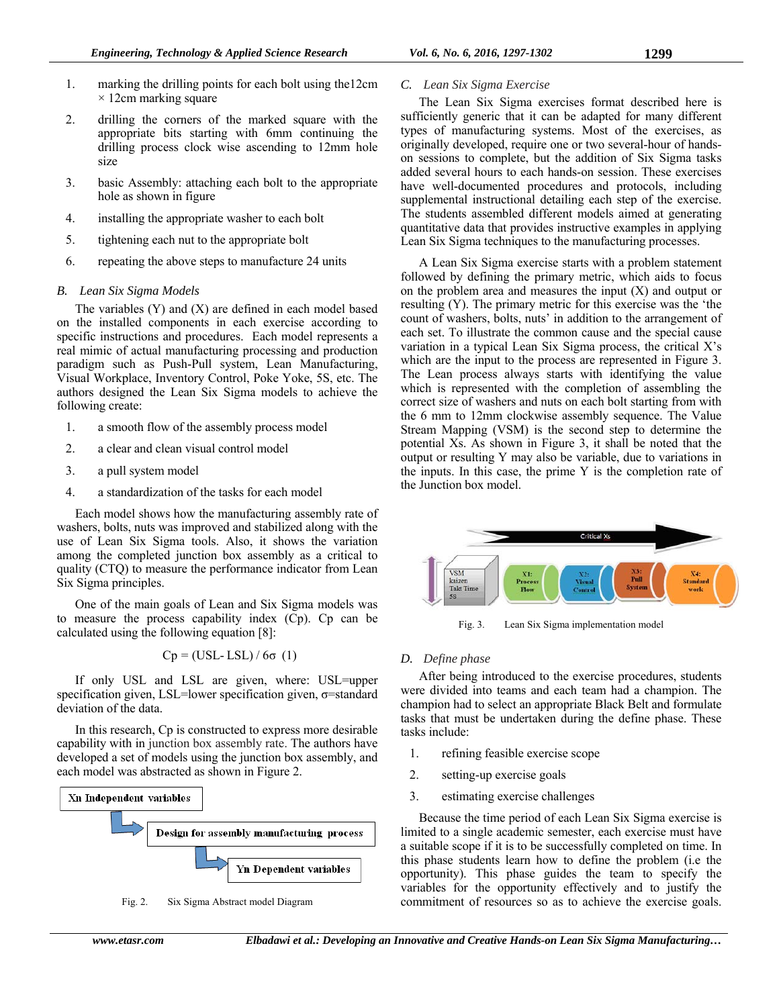- 1. marking the drilling points for each bolt using the12cm  $\times$  12cm marking square
- 2. drilling the corners of the marked square with the appropriate bits starting with 6mm continuing the drilling process clock wise ascending to 12mm hole size
- 3. basic Assembly: attaching each bolt to the appropriate hole as shown in figure
- 4. installing the appropriate washer to each bolt
- 5. tightening each nut to the appropriate bolt
- 6. repeating the above steps to manufacture 24 units

# *B. Lean Six Sigma Models*

The variables  $(Y)$  and  $(X)$  are defined in each model based on the installed components in each exercise according to specific instructions and procedures. Each model represents a real mimic of actual manufacturing processing and production paradigm such as Push-Pull system, Lean Manufacturing, Visual Workplace, Inventory Control, Poke Yoke, 5S, etc. The authors designed the Lean Six Sigma models to achieve the following create:

- 1. a smooth flow of the assembly process model
- 2. a clear and clean visual control model
- 3. a pull system model
- 4. a standardization of the tasks for each model

Each model shows how the manufacturing assembly rate of washers, bolts, nuts was improved and stabilized along with the use of Lean Six Sigma tools. Also, it shows the variation among the completed junction box assembly as a critical to quality (CTQ) to measure the performance indicator from Lean Six Sigma principles.

One of the main goals of Lean and Six Sigma models was to measure the process capability index (Cp). Cp can be calculated using the following equation [8]:

$$
Cp = (USL - LSL) / 6\sigma (1)
$$

If only USL and LSL are given, where: USL=upper specification given, LSL=lower specification given, σ=standard deviation of the data.

In this research, Cp is constructed to express more desirable capability with in junction box assembly rate. The authors have developed a set of models using the junction box assembly, and each model was abstracted as shown in Figure 2.



Fig. 2. Six Sigma Abstract model Diagram

# *C. Lean Six Sigma Exercise*

The Lean Six Sigma exercises format described here is sufficiently generic that it can be adapted for many different types of manufacturing systems. Most of the exercises, as originally developed, require one or two several-hour of handson sessions to complete, but the addition of Six Sigma tasks added several hours to each hands-on session. These exercises have well-documented procedures and protocols, including supplemental instructional detailing each step of the exercise. The students assembled different models aimed at generating quantitative data that provides instructive examples in applying Lean Six Sigma techniques to the manufacturing processes.

A Lean Six Sigma exercise starts with a problem statement followed by defining the primary metric, which aids to focus on the problem area and measures the input (X) and output or resulting (Y). The primary metric for this exercise was the 'the count of washers, bolts, nuts' in addition to the arrangement of each set. To illustrate the common cause and the special cause variation in a typical Lean Six Sigma process, the critical X's which are the input to the process are represented in Figure 3. The Lean process always starts with identifying the value which is represented with the completion of assembling the correct size of washers and nuts on each bolt starting from with the 6 mm to 12mm clockwise assembly sequence. The Value Stream Mapping (VSM) is the second step to determine the potential Xs. As shown in Figure 3, it shall be noted that the output or resulting Y may also be variable, due to variations in the inputs. In this case, the prime Y is the completion rate of the Junction box model.



Fig. 3. Lean Six Sigma implementation model

# *D. Define phase*

After being introduced to the exercise procedures, students were divided into teams and each team had a champion. The champion had to select an appropriate Black Belt and formulate tasks that must be undertaken during the define phase. These tasks include:

- 1. refining feasible exercise scope
- 2. setting-up exercise goals
- 3. estimating exercise challenges

Because the time period of each Lean Six Sigma exercise is limited to a single academic semester, each exercise must have a suitable scope if it is to be successfully completed on time. In this phase students learn how to define the problem (i.e the opportunity). This phase guides the team to specify the variables for the opportunity effectively and to justify the commitment of resources so as to achieve the exercise goals.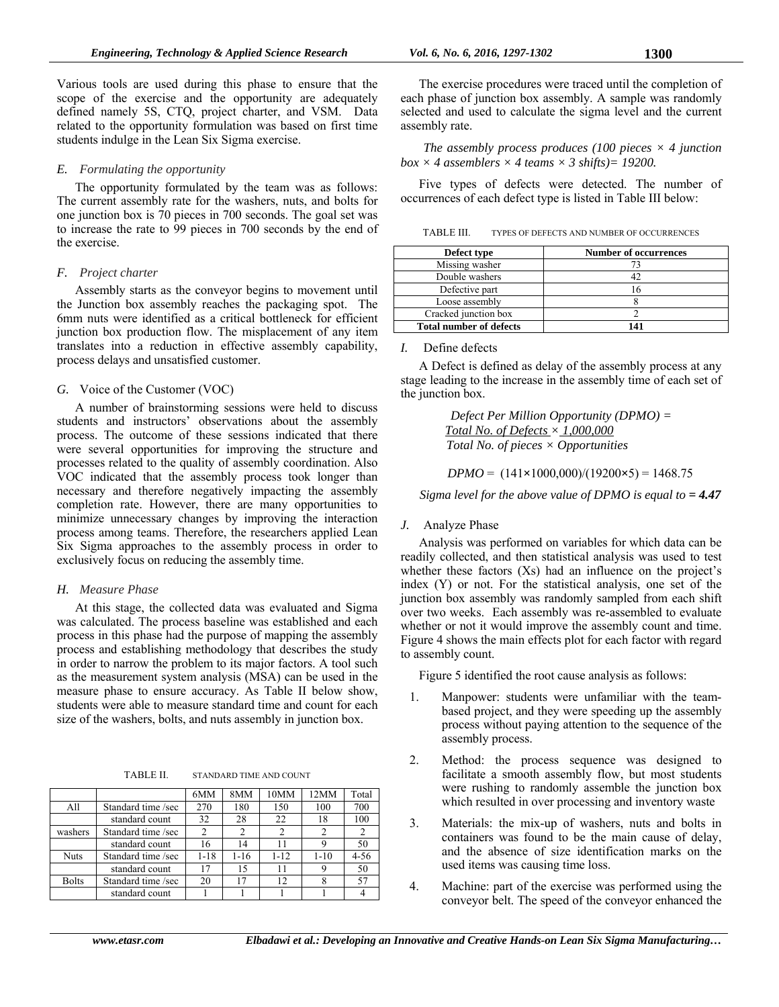Various tools are used during this phase to ensure that the scope of the exercise and the opportunity are adequately defined namely 5S, CTQ, project charter, and VSM. Data related to the opportunity formulation was based on first time students indulge in the Lean Six Sigma exercise.

#### *E. Formulating the opportunity*

The opportunity formulated by the team was as follows: The current assembly rate for the washers, nuts, and bolts for one junction box is 70 pieces in 700 seconds. The goal set was to increase the rate to 99 pieces in 700 seconds by the end of the exercise.

#### *F. Project charter*

Assembly starts as the conveyor begins to movement until the Junction box assembly reaches the packaging spot. The 6mm nuts were identified as a critical bottleneck for efficient junction box production flow. The misplacement of any item translates into a reduction in effective assembly capability, process delays and unsatisfied customer.

#### *G.* Voice of the Customer (VOC)

A number of brainstorming sessions were held to discuss students and instructors' observations about the assembly process. The outcome of these sessions indicated that there were several opportunities for improving the structure and processes related to the quality of assembly coordination. Also VOC indicated that the assembly process took longer than necessary and therefore negatively impacting the assembly completion rate. However, there are many opportunities to minimize unnecessary changes by improving the interaction process among teams. Therefore, the researchers applied Lean Six Sigma approaches to the assembly process in order to exclusively focus on reducing the assembly time.

#### *H. Measure Phase*

At this stage, the collected data was evaluated and Sigma was calculated. The process baseline was established and each process in this phase had the purpose of mapping the assembly process and establishing methodology that describes the study in order to narrow the problem to its major factors. A tool such as the measurement system analysis (MSA) can be used in the measure phase to ensure accuracy. As Table II below show, students were able to measure standard time and count for each size of the washers, bolts, and nuts assembly in junction box.

TABLE II. STANDARD TIME AND COUNT

|              |                    | 6MM      | 8MM      | 10MM     | 12MM     | Total    |
|--------------|--------------------|----------|----------|----------|----------|----------|
| All          | Standard time /sec | 270      | 180      | 150      | 100      | 700      |
|              | standard count     | 32       | 28       | 22       | 18       | 100      |
| washers      | Standard time /sec |          |          |          |          |          |
|              | standard count     | 16       | 14       | 11       |          | 50       |
| <b>Nuts</b>  | Standard time /sec | $1 - 18$ | $1 - 16$ | $1 - 12$ | $1 - 10$ | $4 - 56$ |
|              | standard count     | 17       | 15       | 11       |          | 50       |
| <b>Bolts</b> | Standard time /sec | 20       | 17       | 12       | 8        | 57       |
|              | standard count     |          |          |          |          |          |

The exercise procedures were traced until the completion of each phase of junction box assembly. A sample was randomly selected and used to calculate the sigma level and the current assembly rate.

*The assembly process produces (100 pieces × 4 junction*   $box \times 4$  assemblers  $\times 4$  teams  $\times 3$  shifts) = 19200.

Five types of defects were detected. The number of occurrences of each defect type is listed in Table III below:

| TABLE III.<br>TYPES OF DEFECTS AND NUMBER OF OCCURRENCES |
|----------------------------------------------------------|
|----------------------------------------------------------|

| Defect type                    | <b>Number of occurrences</b> |
|--------------------------------|------------------------------|
| Missing washer                 |                              |
| Double washers                 |                              |
| Defective part                 |                              |
| Loose assembly                 |                              |
| Cracked junction box           |                              |
| <b>Total number of defects</b> |                              |

#### *I.* Define defects

A Defect is defined as delay of the assembly process at any stage leading to the increase in the assembly time of each set of the junction box.

> *Defect Per Million Opportunity (DPMO) = Total No. of Defects × 1,000,000 Total No. of pieces × Opportunities*

*DPMO* = (141**×**1000,000)/(19200**×**5) = 1468.75

*Sigma level for the above value of DPMO is equal to*  = 4.47

#### *J.* Analyze Phase

Analysis was performed on variables for which data can be readily collected, and then statistical analysis was used to test whether these factors (Xs) had an influence on the project's index (Y) or not. For the statistical analysis, one set of the junction box assembly was randomly sampled from each shift over two weeks. Each assembly was re-assembled to evaluate whether or not it would improve the assembly count and time. Figure 4 shows the main effects plot for each factor with regard to assembly count.

Figure 5 identified the root cause analysis as follows:

- 1. Manpower: students were unfamiliar with the teambased project, and they were speeding up the assembly process without paying attention to the sequence of the assembly process.
- 2. Method: the process sequence was designed to facilitate a smooth assembly flow, but most students were rushing to randomly assemble the junction box which resulted in over processing and inventory waste
- 3. Materials: the mix-up of washers, nuts and bolts in containers was found to be the main cause of delay, and the absence of size identification marks on the used items was causing time loss.
- 4. Machine: part of the exercise was performed using the conveyor belt. The speed of the conveyor enhanced the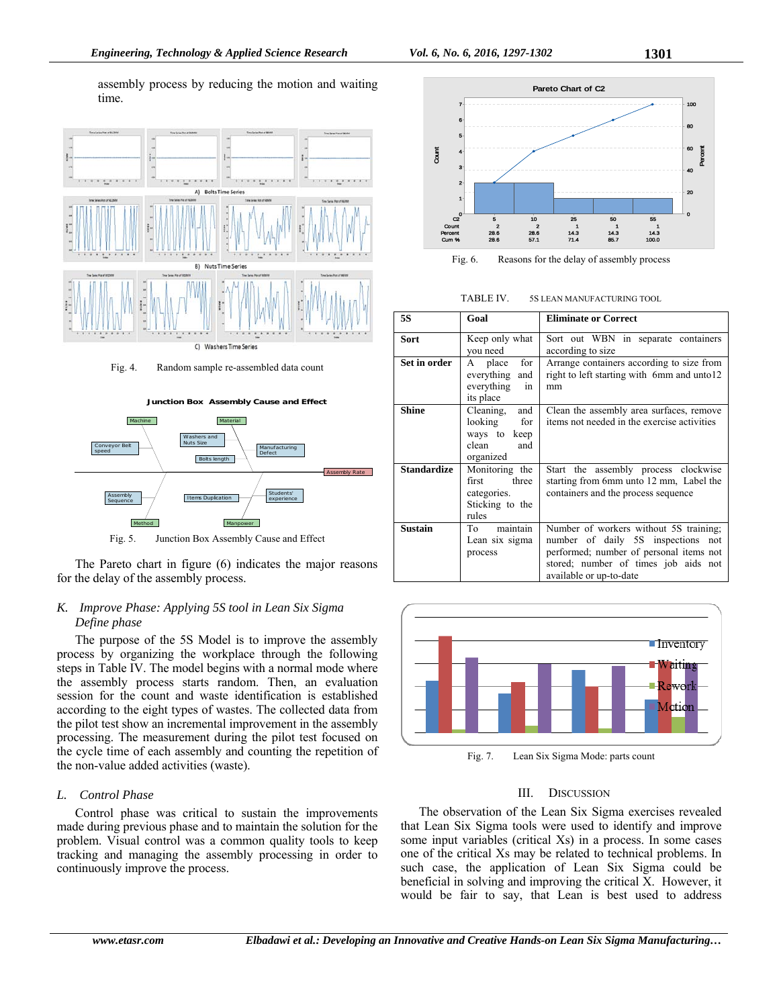assembly process by reducing the motion and waiting time.



Fig. 4. Random sample re-assembled data count



The Pareto chart in figure (6) indicates the major reasons for the delay of the assembly process.

# *K. Improve Phase: Applying 5S tool in Lean Six Sigma Define phase*

The purpose of the 5S Model is to improve the assembly process by organizing the workplace through the following steps in Table IV. The model begins with a normal mode where the assembly process starts random. Then, an evaluation session for the count and waste identification is established according to the eight types of wastes. The collected data from the pilot test show an incremental improvement in the assembly processing. The measurement during the pilot test focused on the cycle time of each assembly and counting the repetition of the non-value added activities (waste).

# *L. Control Phase*

Control phase was critical to sustain the improvements made during previous phase and to maintain the solution for the problem. Visual control was a common quality tools to keep tracking and managing the assembly processing in order to continuously improve the process.



Fig. 6. Reasons for the delay of assembly process

| TABLE IV. | 5S LEAN MANUFACTURING TOOL |
|-----------|----------------------------|
|           |                            |

| <b>5S</b>          | Goal                                                                            | <b>Eliminate or Correct</b>                                                                                                                                                                   |
|--------------------|---------------------------------------------------------------------------------|-----------------------------------------------------------------------------------------------------------------------------------------------------------------------------------------------|
| Sort               | Keep only what<br>you need                                                      | Sort out WBN in separate containers<br>according to size                                                                                                                                      |
| Set in order       | for<br>place<br>A<br>everything<br>and<br>everything<br>in<br>its place         | Arrange containers according to size from<br>right to left starting with 6mm and unto12<br>mm                                                                                                 |
| <b>Shine</b>       | and<br>Cleaning.<br>looking<br>for<br>ways to keep<br>clean<br>and<br>organized | Clean the assembly area surfaces, remove<br>items not needed in the exercise activities                                                                                                       |
| <b>Standardize</b> | Monitoring the<br>three<br>first<br>categories.<br>Sticking to the<br>rules     | Start the assembly process clockwise<br>starting from 6mm unto 12 mm, Label the<br>containers and the process sequence                                                                        |
| <b>Sustain</b>     | maintain<br>To<br>Lean six sigma<br>process                                     | Number of workers without 5S training;<br>number of daily 5S inspections<br>not<br>performed; number of personal items not<br>stored; number of times job aids not<br>available or up-to-date |



Fig. 7. Lean Six Sigma Mode: parts count

#### III. DISCUSSION

The observation of the Lean Six Sigma exercises revealed that Lean Six Sigma tools were used to identify and improve some input variables (critical Xs) in a process. In some cases one of the critical Xs may be related to technical problems. In such case, the application of Lean Six Sigma could be beneficial in solving and improving the critical X. However, it would be fair to say, that Lean is best used to address